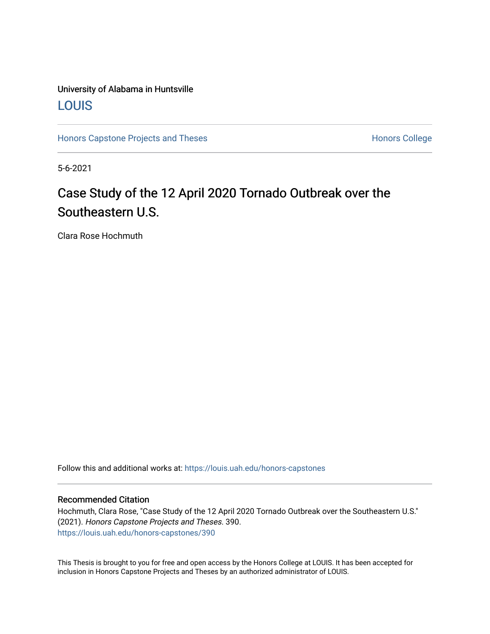### University of Alabama in Huntsville [LOUIS](https://louis.uah.edu/)

[Honors Capstone Projects and Theses](https://louis.uah.edu/honors-capstones) **Honors College** Honors College

5-6-2021

# Case Study of the 12 April 2020 Tornado Outbreak over the Southeastern U.S.

Clara Rose Hochmuth

Follow this and additional works at: [https://louis.uah.edu/honors-capstones](https://louis.uah.edu/honors-capstones?utm_source=louis.uah.edu%2Fhonors-capstones%2F390&utm_medium=PDF&utm_campaign=PDFCoverPages) 

### Recommended Citation

Hochmuth, Clara Rose, "Case Study of the 12 April 2020 Tornado Outbreak over the Southeastern U.S." (2021). Honors Capstone Projects and Theses. 390. [https://louis.uah.edu/honors-capstones/390](https://louis.uah.edu/honors-capstones/390?utm_source=louis.uah.edu%2Fhonors-capstones%2F390&utm_medium=PDF&utm_campaign=PDFCoverPages) 

This Thesis is brought to you for free and open access by the Honors College at LOUIS. It has been accepted for inclusion in Honors Capstone Projects and Theses by an authorized administrator of LOUIS.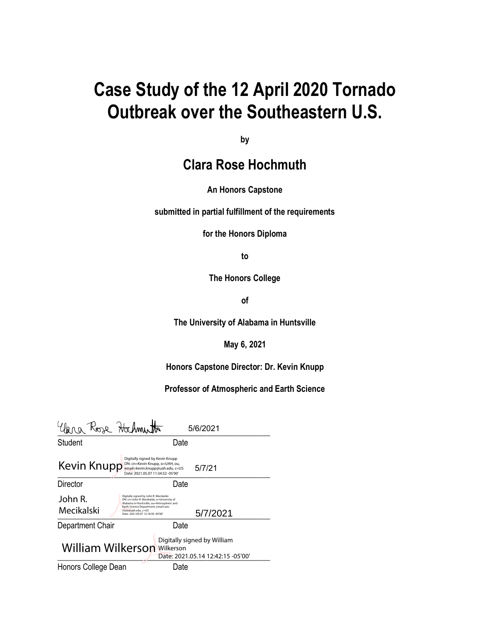# **Case Study of the 12 April 2020 Tornado Outbreak over the Southeastern U.S.**

**by**

## **Clara Rose Hochmuth**

### **An Honors Capstone**

**submitted in partial fulfillment of the requirements** 

**for the Honors Diploma**

**to** 

**The Honors College** 

**of** 

**The University of Alabama in Huntsville**

**May 6, 2021**

**Honors Capstone Director: Dr. Kevin Knupp**

**Professor of Atmospheric and Earth Science**

| lera Rose Hochmutto                                                                             | 5/6/2021                                                                                                                                                                                                                                         |  |
|-------------------------------------------------------------------------------------------------|--------------------------------------------------------------------------------------------------------------------------------------------------------------------------------------------------------------------------------------------------|--|
| Student                                                                                         | Date                                                                                                                                                                                                                                             |  |
| Kevin Knupp                                                                                     | Digitally signed by Kevin Knupp<br>DN: cn=Kevin Knupp, o=UAH, ou,<br>5/7/21<br>email=kevin.knupp@uah.edu, c=US<br>Date: 2021.05.07 11:34:52 -05'00'                                                                                              |  |
| Director                                                                                        | Date                                                                                                                                                                                                                                             |  |
| John R.<br>Mecikalski                                                                           | Digitally signed by John R. Mecikalski<br>DN: cn=John R. Mecikalski, o=University of<br>Alabama in Huntsville, ou=Atmospheric and<br>Earth Science Department, email=aes-<br>chair@uah.edu.c=US<br>5/7/2021<br>Date: 2021.05.07 12:18:50 -05'00' |  |
| Department Chair                                                                                | Date                                                                                                                                                                                                                                             |  |
| Digitally signed by William<br>William Wilkerson Wilkerson<br>Date: 2021.05.14 12:42:15 -05'00' |                                                                                                                                                                                                                                                  |  |
| Honors College Dean                                                                             | Date                                                                                                                                                                                                                                             |  |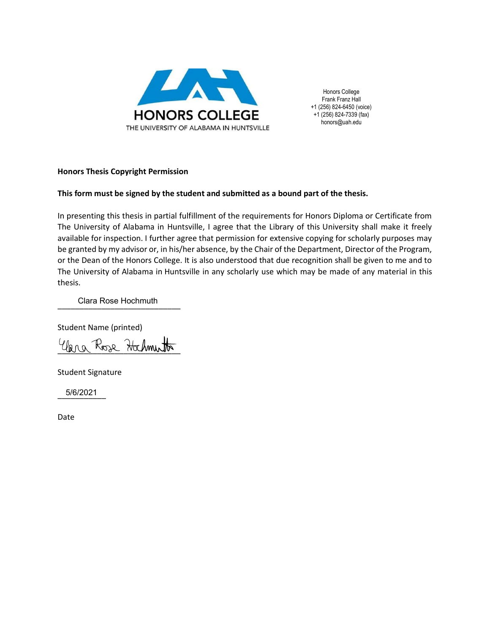

Honors College Frank Franz Hall +1 (256) 824-6450 (voice) +1 (256) 824-7339 (fax) honors@uah.edu

### **Honors Thesis Copyright Permission**

### **This form must be signed by the student and submitted as a bound part of the thesis.**

In presenting this thesis in partial fulfillment of the requirements for Honors Diploma or Certificate from The University of Alabama in Huntsville, I agree that the Library of this University shall make it freely available for inspection. I further agree that permission for extensive copying for scholarly purposes may be granted by my advisor or, in his/her absence, by the Chair of the Department, Director of the Program, or the Dean of the Honors College. It is also understood that due recognition shall be given to me and to The University of Alabama in Huntsville in any scholarly use which may be made of any material in this thesis.

\_\_\_\_\_\_\_\_\_\_\_\_\_\_\_\_\_\_\_\_\_\_\_\_\_\_\_\_ Clara Rose Hochmuth

Student Name (printed)

Una Rose Hochmutto

Student Signature

\_\_\_\_\_\_\_\_\_\_\_ 5/6/2021

Date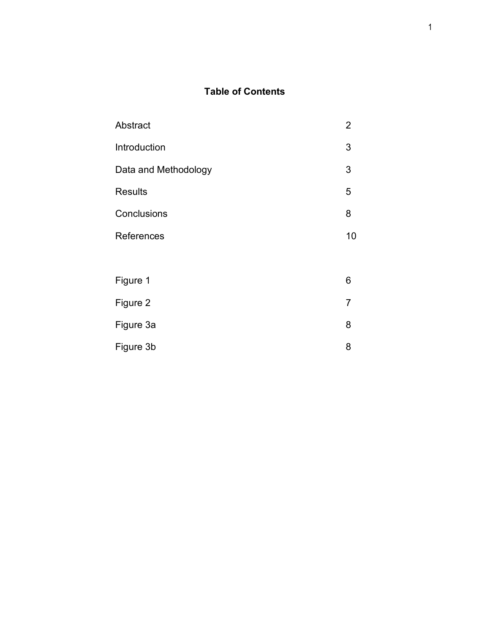### **Table of Contents**

| Abstract             |                |
|----------------------|----------------|
| Introduction         |                |
| Data and Methodology |                |
| <b>Results</b>       | 5              |
| Conclusions          | 8              |
| References           | 10             |
|                      |                |
| Figure 1             | 6              |
| Figure 2             | $\overline{7}$ |
| Figure 3a            | 8              |
|                      |                |

Figure 3b 8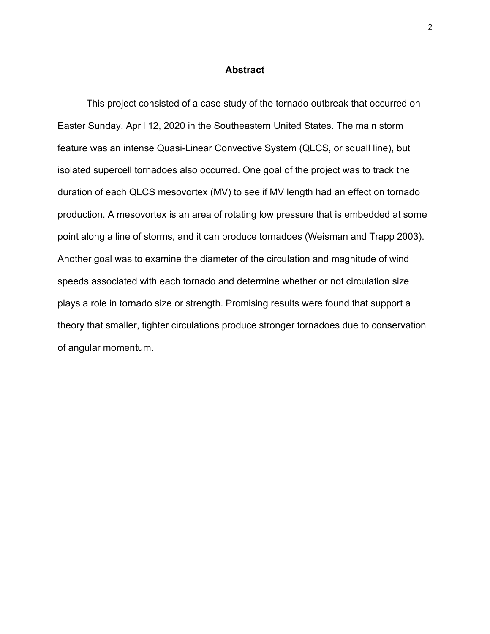#### **Abstract**

This project consisted of a case study of the tornado outbreak that occurred on Easter Sunday, April 12, 2020 in the Southeastern United States. The main storm feature was an intense Quasi-Linear Convective System (QLCS, or squall line), but isolated supercell tornadoes also occurred. One goal of the project was to track the duration of each QLCS mesovortex (MV) to see if MV length had an effect on tornado production. A mesovortex is an area of rotating low pressure that is embedded at some point along a line of storms, and it can produce tornadoes (Weisman and Trapp 2003). Another goal was to examine the diameter of the circulation and magnitude of wind speeds associated with each tornado and determine whether or not circulation size plays a role in tornado size or strength. Promising results were found that support a theory that smaller, tighter circulations produce stronger tornadoes due to conservation of angular momentum.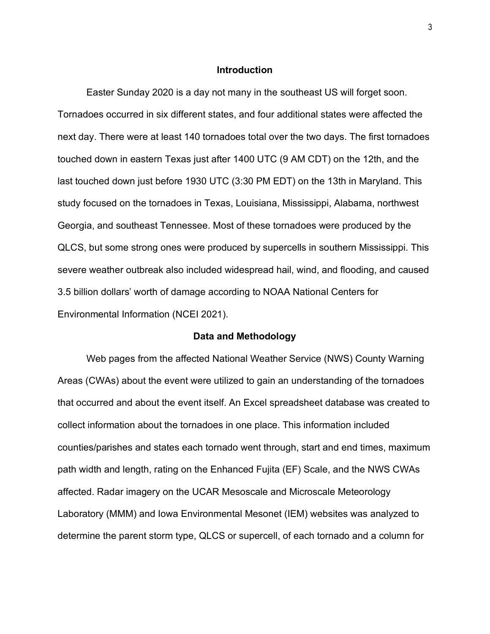#### **Introduction**

Easter Sunday 2020 is a day not many in the southeast US will forget soon. Tornadoes occurred in six different states, and four additional states were affected the next day. There were at least 140 tornadoes total over the two days. The first tornadoes touched down in eastern Texas just after 1400 UTC (9 AM CDT) on the 12th, and the last touched down just before 1930 UTC (3:30 PM EDT) on the 13th in Maryland. This study focused on the tornadoes in Texas, Louisiana, Mississippi, Alabama, northwest Georgia, and southeast Tennessee. Most of these tornadoes were produced by the QLCS, but some strong ones were produced by supercells in southern Mississippi. This severe weather outbreak also included widespread hail, wind, and flooding, and caused 3.5 billion dollars' worth of damage according to NOAA National Centers for Environmental Information (NCEI 2021).

### **Data and Methodology**

Web pages from the affected National Weather Service (NWS) County Warning Areas (CWAs) about the event were utilized to gain an understanding of the tornadoes that occurred and about the event itself. An Excel spreadsheet database was created to collect information about the tornadoes in one place. This information included counties/parishes and states each tornado went through, start and end times, maximum path width and length, rating on the Enhanced Fujita (EF) Scale, and the NWS CWAs affected. Radar imagery on the UCAR Mesoscale and Microscale Meteorology Laboratory (MMM) and Iowa Environmental Mesonet (IEM) websites was analyzed to determine the parent storm type, QLCS or supercell, of each tornado and a column for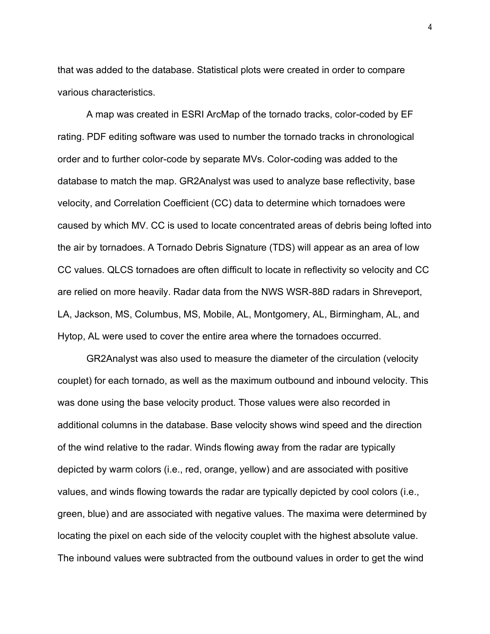that was added to the database. Statistical plots were created in order to compare various characteristics.

A map was created in ESRI ArcMap of the tornado tracks, color-coded by EF rating. PDF editing software was used to number the tornado tracks in chronological order and to further color-code by separate MVs. Color-coding was added to the database to match the map. GR2Analyst was used to analyze base reflectivity, base velocity, and Correlation Coefficient (CC) data to determine which tornadoes were caused by which MV. CC is used to locate concentrated areas of debris being lofted into the air by tornadoes. A Tornado Debris Signature (TDS) will appear as an area of low CC values. QLCS tornadoes are often difficult to locate in reflectivity so velocity and CC are relied on more heavily. Radar data from the NWS WSR-88D radars in Shreveport, LA, Jackson, MS, Columbus, MS, Mobile, AL, Montgomery, AL, Birmingham, AL, and Hytop, AL were used to cover the entire area where the tornadoes occurred.

GR2Analyst was also used to measure the diameter of the circulation (velocity couplet) for each tornado, as well as the maximum outbound and inbound velocity. This was done using the base velocity product. Those values were also recorded in additional columns in the database. Base velocity shows wind speed and the direction of the wind relative to the radar. Winds flowing away from the radar are typically depicted by warm colors (i.e., red, orange, yellow) and are associated with positive values, and winds flowing towards the radar are typically depicted by cool colors (i.e., green, blue) and are associated with negative values. The maxima were determined by locating the pixel on each side of the velocity couplet with the highest absolute value. The inbound values were subtracted from the outbound values in order to get the wind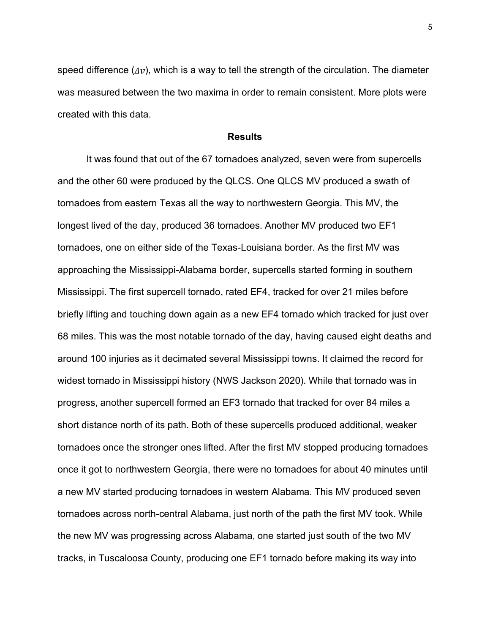speed difference  $(\Delta v)$ , which is a way to tell the strength of the circulation. The diameter was measured between the two maxima in order to remain consistent. More plots were created with this data.

### **Results**

It was found that out of the 67 tornadoes analyzed, seven were from supercells and the other 60 were produced by the QLCS. One QLCS MV produced a swath of tornadoes from eastern Texas all the way to northwestern Georgia. This MV, the longest lived of the day, produced 36 tornadoes. Another MV produced two EF1 tornadoes, one on either side of the Texas-Louisiana border. As the first MV was approaching the Mississippi-Alabama border, supercells started forming in southern Mississippi. The first supercell tornado, rated EF4, tracked for over 21 miles before briefly lifting and touching down again as a new EF4 tornado which tracked for just over 68 miles. This was the most notable tornado of the day, having caused eight deaths and around 100 injuries as it decimated several Mississippi towns. It claimed the record for widest tornado in Mississippi history (NWS Jackson 2020). While that tornado was in progress, another supercell formed an EF3 tornado that tracked for over 84 miles a short distance north of its path. Both of these supercells produced additional, weaker tornadoes once the stronger ones lifted. After the first MV stopped producing tornadoes once it got to northwestern Georgia, there were no tornadoes for about 40 minutes until a new MV started producing tornadoes in western Alabama. This MV produced seven tornadoes across north-central Alabama, just north of the path the first MV took. While the new MV was progressing across Alabama, one started just south of the two MV tracks, in Tuscaloosa County, producing one EF1 tornado before making its way into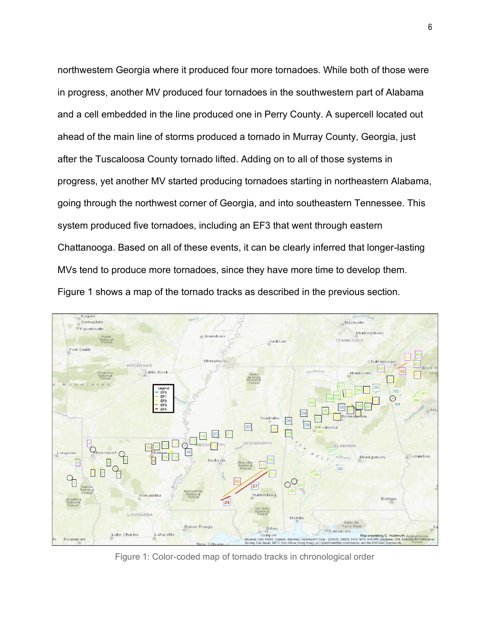northwestern Georgia where it produced four more tornadoes. While both of those were in progress, another MV produced four tornadoes in the southwestern part of Alabama and a cell embedded in the line produced one in Perry County. A supercell located out ahead of the main line of storms produced a tornado in Murray County, Georgia, just after the Tuscaloosa County tornado lifted. Adding on to all of those systems in progress, yet another MV started producing tornadoes starting in northeastern Alabama, going through the northwest corner of Georgia, and into southeastern Tennessee. This system produced five tornadoes, including an EF3 that went through eastern Chattanooga. Based on all of these events, it can be clearly inferred that longer-lasting MVs tend to produce more tornadoes, since they have more time to develop them. Figure 1 shows a map of the tornado tracks as described in the previous section.



Figure 1: Color-coded map of tornado tracks in chronological order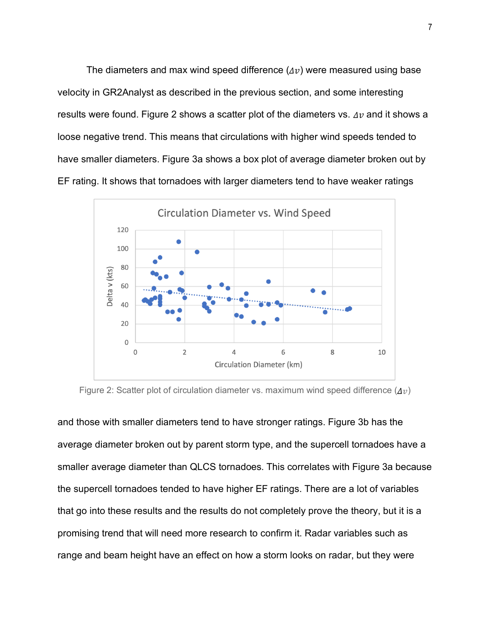The diameters and max wind speed difference  $(\Delta v)$  were measured using base velocity in GR2Analyst as described in the previous section, and some interesting results were found. Figure 2 shows a scatter plot of the diameters vs.  $\Delta v$  and it shows a loose negative trend. This means that circulations with higher wind speeds tended to have smaller diameters. Figure 3a shows a box plot of average diameter broken out by EF rating. It shows that tornadoes with larger diameters tend to have weaker ratings



Figure 2: Scatter plot of circulation diameter vs. maximum wind speed difference  $(\Delta v)$ 

and those with smaller diameters tend to have stronger ratings. Figure 3b has the average diameter broken out by parent storm type, and the supercell tornadoes have a smaller average diameter than QLCS tornadoes. This correlates with Figure 3a because the supercell tornadoes tended to have higher EF ratings. There are a lot of variables that go into these results and the results do not completely prove the theory, but it is a promising trend that will need more research to confirm it. Radar variables such as range and beam height have an effect on how a storm looks on radar, but they were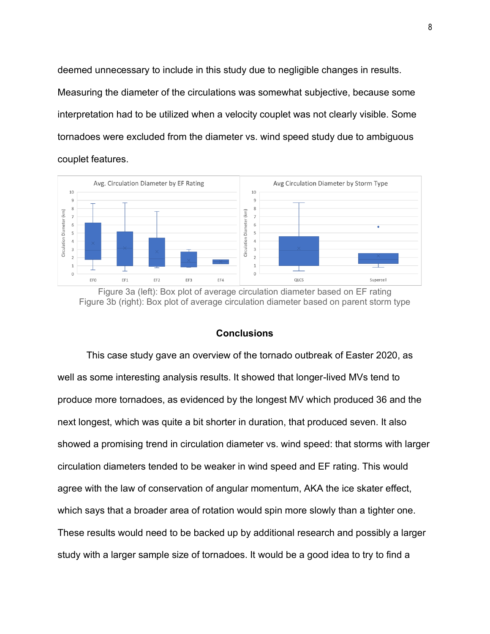deemed unnecessary to include in this study due to negligible changes in results. Measuring the diameter of the circulations was somewhat subjective, because some interpretation had to be utilized when a velocity couplet was not clearly visible. Some tornadoes were excluded from the diameter vs. wind speed study due to ambiguous couplet features.



Figure 3a (left): Box plot of average circulation diameter based on EF rating Figure 3b (right): Box plot of average circulation diameter based on parent storm type

### **Conclusions**

This case study gave an overview of the tornado outbreak of Easter 2020, as well as some interesting analysis results. It showed that longer-lived MVs tend to produce more tornadoes, as evidenced by the longest MV which produced 36 and the next longest, which was quite a bit shorter in duration, that produced seven. It also showed a promising trend in circulation diameter vs. wind speed: that storms with larger circulation diameters tended to be weaker in wind speed and EF rating. This would agree with the law of conservation of angular momentum, AKA the ice skater effect, which says that a broader area of rotation would spin more slowly than a tighter one. These results would need to be backed up by additional research and possibly a larger study with a larger sample size of tornadoes. It would be a good idea to try to find a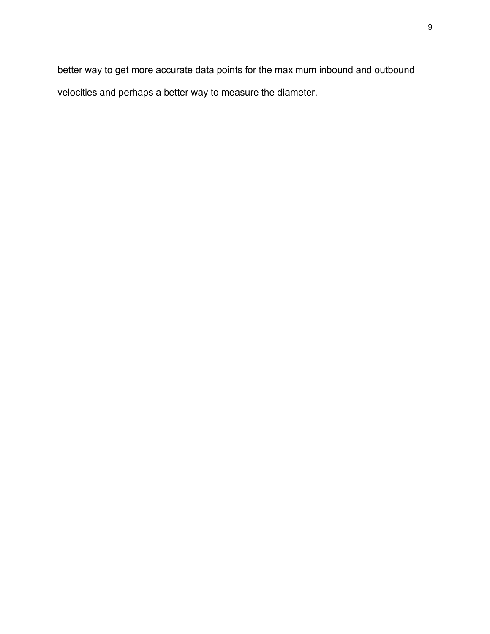better way to get more accurate data points for the maximum inbound and outbound velocities and perhaps a better way to measure the diameter.